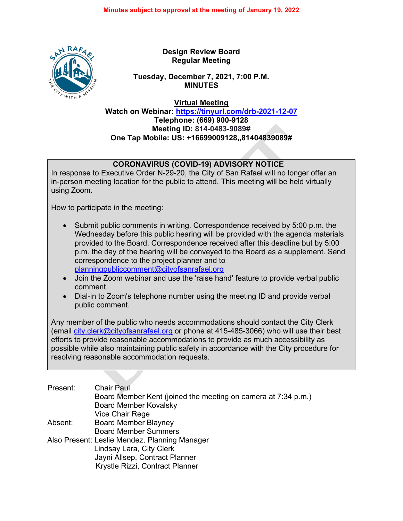

**Design Review Board Regular Meeting**

**Tuesday, December 7, 2021, 7:00 P.M. MINUTES**

**Virtual Meeting**

**Watch on Webinar: <https://tinyurl.com/drb-2021-12-07> Telephone: (669) 900-9128 Meeting ID: 814-0483-9089# One Tap Mobile: US: +16699009128,,81404839089#**

# **CORONAVIRUS (COVID-19) ADVISORY NOTICE**

In response to Executive Order N-29-20, the City of San Rafael will no longer offer an in-person meeting location for the public to attend. This meeting will be held virtually using Zoom.

How to participate in the meeting:

- Submit public comments in writing. Correspondence received by 5:00 p.m. the Wednesday before this public hearing will be provided with the agenda materials provided to the Board. Correspondence received after this deadline but by 5:00 p.m. the day of the hearing will be conveyed to the Board as a supplement. Send correspondence to the project planner and to [planningpubliccomment@cityofsanrafael.org](mailto:planningpubliccomment@cityofsanrafael.org)
- Join the Zoom webinar and use the 'raise hand' feature to provide verbal public comment.
- Dial-in to Zoom's telephone number using the meeting ID and provide verbal public comment.

Any member of the public who needs accommodations should contact the City Clerk (email [city.clerk@cityofsanrafael.org](mailto:city.clerk@cityofsanrafael.org) or phone at 415-485-3066) who will use their best efforts to provide reasonable accommodations to provide as much accessibility as possible while also maintaining public safety in accordance with the City procedure for resolving reasonable accommodation requests.

| Present: | <b>Chair Paul</b>                                             |
|----------|---------------------------------------------------------------|
|          | Board Member Kent (joined the meeting on camera at 7:34 p.m.) |
|          | <b>Board Member Kovalsky</b>                                  |
|          | Vice Chair Rege                                               |
| Absent:  | <b>Board Member Blayney</b>                                   |
|          | <b>Board Member Summers</b>                                   |
|          | Also Present: Leslie Mendez, Planning Manager                 |
|          | Lindsay Lara, City Clerk                                      |
|          | Jayni Allsep, Contract Planner                                |
|          | Krystle Rizzi, Contract Planner                               |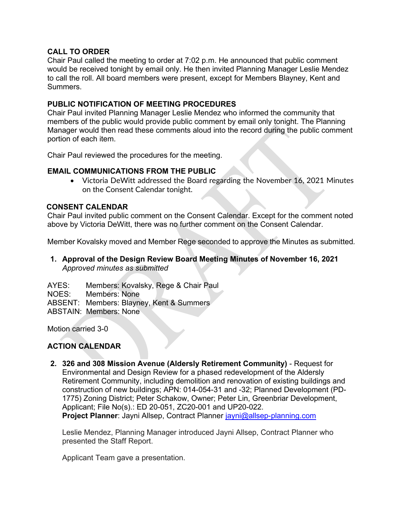## **CALL TO ORDER**

Chair Paul called the meeting to order at 7:02 p.m. He announced that public comment would be received tonight by email only. He then invited Planning Manager Leslie Mendez to call the roll. All board members were present, except for Members Blayney, Kent and Summers.

### **PUBLIC NOTIFICATION OF MEETING PROCEDURES**

Chair Paul invited Planning Manager Leslie Mendez who informed the community that members of the public would provide public comment by email only tonight. The Planning Manager would then read these comments aloud into the record during the public comment portion of each item.

Chair Paul reviewed the procedures for the meeting.

### **EMAIL COMMUNICATIONS FROM THE PUBLIC**

• Victoria DeWitt addressed the Board regarding the November 16, 2021 Minutes on the Consent Calendar tonight.

### **CONSENT CALENDAR**

Chair Paul invited public comment on the Consent Calendar. Except for the comment noted above by Victoria DeWitt, there was no further comment on the Consent Calendar.

Member Kovalsky moved and Member Rege seconded to approve the Minutes as submitted*.* 

## **1. Approval of the Design Review Board Meeting Minutes of November 16, 2021** *Approved minutes as submitted*

AYES: Members: Kovalsky, Rege & Chair Paul NOES: Members: None ABSENT: Members: Blayney, Kent & Summers ABSTAIN: Members: None

Motion carried 3-0

## **ACTION CALENDAR**

**2. 326 and 308 Mission Avenue (Aldersly Retirement Community)** - Request for Environmental and Design Review for a phased redevelopment of the Aldersly Retirement Community, including demolition and renovation of existing buildings and construction of new buildings; APN: 014-054-31 and -32; Planned Development (PD-1775) Zoning District; Peter Schakow, Owner; Peter Lin, Greenbriar Development, Applicant; File No(s).: ED 20-051, ZC20-001 and UP20-022. **Project Planner:** Jayni Allsep, Contract Planner [jayni@allsep-planning.com](mailto:jayni@allsep-planning.com)

Leslie Mendez, Planning Manager introduced Jayni Allsep, Contract Planner who presented the Staff Report.

Applicant Team gave a presentation.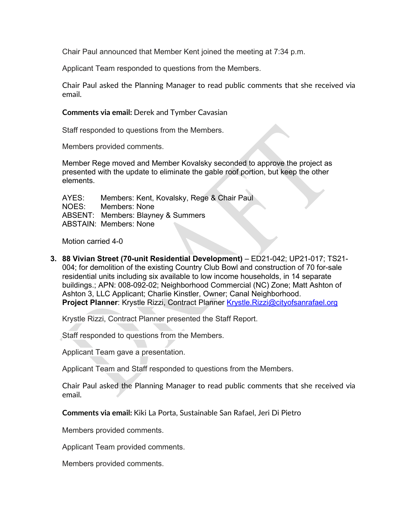Chair Paul announced that Member Kent joined the meeting at 7:34 p.m.

Applicant Team responded to questions from the Members.

Chair Paul asked the Planning Manager to read public comments that she received via email.

### **Comments via email:** Derek and Tymber Cavasian

Staff responded to questions from the Members.

Members provided comments.

Member Rege moved and Member Kovalsky seconded to approve the project as presented with the update to eliminate the gable roof portion, but keep the other elements.

AYES: Members: Kent, Kovalsky, Rege & Chair Paul NOES: Members: None ABSENT: Members: Blayney & Summers ABSTAIN: Members: None

Motion carried 4-0

**3. 88 Vivian Street (70-unit Residential Development)** – ED21-042; UP21-017; TS21- 004; for demolition of the existing Country Club Bowl and construction of 70 for-sale residential units including six available to low income households, in 14 separate buildings.; APN: 008-092-02; Neighborhood Commercial (NC) Zone; Matt Ashton of Ashton 3, LLC Applicant; Charlie Kinstler, Owner; Canal Neighborhood. **Project Planner:** Krystle Rizzi, Contract Planner [Krystle.Rizzi@cityofsanrafael.org](mailto:Krystle.Rizzi@cityofsanrafael.org)

Krystle Rizzi, Contract Planner presented the Staff Report.

Staff responded to questions from the Members.

Applicant Team gave a presentation.

Applicant Team and Staff responded to questions from the Members.

Chair Paul asked the Planning Manager to read public comments that she received via email.

**Comments via email:** Kiki La Porta, Sustainable San Rafael, Jeri Di Pietro

Members provided comments.

Applicant Team provided comments.

Members provided comments.